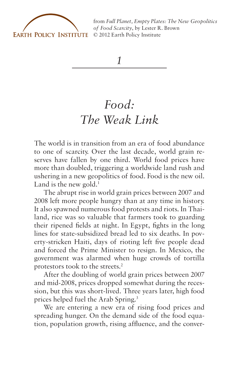

from *[Full Planet, Empty Plates: The New Geopolitics](http://www.earth-policy.org) of Food Scarcity*, by Lester R. Brown © 2012 Earth Policy Institute

*1*

## *Food: The Weak Link*

The world is in transition from an era of food abundance to one of scarcity. Over the last decade, world grain reserves have fallen by one third. World food prices have more than doubled, triggering a worldwide land rush and ushering in a new geopolitics of food. Food is the new oil. Land is the new gold. $<sup>1</sup>$ </sup>

The abrupt rise in world grain prices between 2007 and 2008 left more people hungry than at any time in history. It also spawned numerous food protests and riots. In Thailand, rice was so valuable that farmers took to guarding their ripened fields at night. In Egypt, fights in the long lines for state-subsidized bread led to six deaths. In poverty-stricken Haiti, days of rioting left five people dead and forced the Prime Minister to resign. In Mexico, the government was alarmed when huge crowds of tortilla protestors took to the streets.<sup>2</sup>

After the doubling of world grain prices between 2007 and mid-2008, prices dropped somewhat during the recession, but this was short-lived. Three years later, high food prices helped fuel the Arab Spring.3

We are entering a new era of rising food prices and spreading hunger. On the demand side of the food equation, population growth, rising affluence, and the conver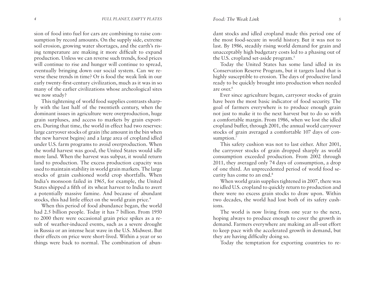sion of food into fuel for cars are combining to raise consumption by record amounts. On the supply side, extreme soil erosion, growing water shortages, and the earth's rising temperature are making it more difficult to expand production. Unless we can reverse such trends, food prices will continue to rise and hunger will continue to spread, eventually bringing down our social system. Can we reverse these trends in time? Or is food the weak link in our early twenty-first-century civilization, much as it was in so many of the earlier civilizations whose archeological sites we now study?

This tightening of world food supplies contrasts sharply with the last half of the twentieth century, when the dominant issues in agriculture were overproduction, huge grain surpluses, and access to markets by grain exporters. During that time, the world in effect had two reserves: large carryover stocks of grain (the amount in the bin when the new harvest begins) and a large area of cropland idled under U.S. farm programs to avoid overproduction. When the world harvest was good, the United States would idle more land. When the harvest was subpar, it would return land to production. The excess production capacity was used to maintain stability in world grain markets. The large stocks of grain cushioned world crop shortfalls. When India's monsoon failed in 1965, for example, the United States shipped a fifth of its wheat harvest to India to avert a potentially massive famine. And because of abundant stocks, this had little effect on the world grain price.<sup>4</sup>

When this period of food abundance began, the world had 2.5 billion people. Today it has 7 billion. From 1950 to 2000 there were occasional grain price spikes as a result of weather-induced events, such as a severe drought in Russia or an intense heat wave in the U.S. Midwest. But their effects on price were short-lived. Within a year or so things were back to normal. The combination of abundant stocks and idled cropland made this period one of the most food-secure in world history. But it was not to last. By 1986, steadily rising world demand for grain and unacceptably high budgetary costs led to a phasing out of the U.S. cropland set-aside program.<sup>5</sup>

Today the United States has some land idled in its Conservation Reserve Program, but it targets land that is highly susceptible to erosion. The days of productive land ready to be quickly brought into production when needed are over.6

Ever since agriculture began, carryover stocks of grain have been the most basic indicator of food security. The goal of farmers everywhere is to produce enough grain not just to make it to the next harvest but to do so with a comfortable margin. From 1986, when we lost the idled cropland buffer, through 2001, the annual world carryover stocks of grain averaged a comfortable 107 days of consumption.<sup>7</sup>

This safety cushion was not to last either. After 2001, the carryover stocks of grain dropped sharply as world consumption exceeded production. From 2002 through 2011, they averaged only 74 days of consumption, a drop of one third. An unprecedented period of world food security has come to an end.8

When world grain supplies tightened in 2007, there was no idled U.S. cropland to quickly return to production and there were no excess grain stocks to draw upon. Within two decades, the world had lost both of its safety cushions.

The world is now living from one year to the next, hoping always to produce enough to cover the growth in demand. Farmers everywhere are making an all-out effort to keep pace with the accelerated growth in demand, but they are having difficulty doing so.

Today the temptation for exporting countries to re-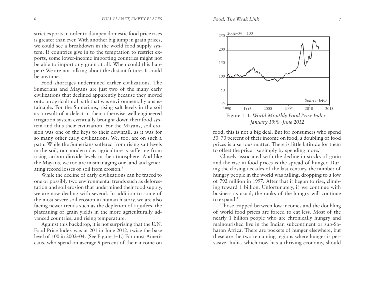strict exports in order to dampen domestic food price rises is greater than ever. With another big jump in grain prices, we could see a breakdown in the world food supply system. If countries give in to the temptation to restrict exports, some lower-income importing countries might not be able to import any grain at all. When could this happen? We are not talking about the distant future. It could be anytime.

Food shortages undermined earlier civilizations. The Sumerians and Mayans are just two of the many early civilizations that declined apparently because they moved onto an agricultural path that was environmentally unsustainable. For the Sumerians, rising salt levels in the soil as a result of a defect in their otherwise well-engineered irrigation system eventually brought down their food system and thus their civilization. For the Mayans, soil erosion was one of the keys to their downfall, as it was for so many other early civilizations. We, too, are on such a path. While the Sumerians suffered from rising salt levels in the soil, our modern-day agriculture is suffering from rising carbon dioxide levels in the atmosphere. And like the Mayans, we too are mismanaging our land and generating record losses of soil from erosion.9

While the decline of early civilizations can be traced to one or possibly two environmental trends such as deforestation and soil erosion that undermined their food supply, we are now dealing with several. In addition to some of the most severe soil erosion in human history, we are also facing newer trends such as the depletion of aquifers, the plateauing of grain yields in the more agriculturally advanced countries, and rising temperature.

Against this backdrop, it is not surprising that the U.N. Food Price Index was at 201 in June 2012, twice the base level of 100 in 2002–04. (See Figure 1–1.) For most Americans, who spend on average 9 percent of their income on



food, this is not a big deal. But for consumers who spend 50–70 percent of their income on food, a doubling of food prices is a serious matter. There is little latitude for them to offset the price rise simply by spending more.<sup>10</sup>

Closely associated with the decline in stocks of grain and the rise in food prices is the spread of hunger. During the closing decades of the last century, the number of hungry people in the world was falling, dropping to a low of 792 million in 1997. After that it began to rise, climbing toward 1 billion. Unfortunately, if we continue with business as usual, the ranks of the hungry will continue to expand.<sup>11</sup>

Those trapped between low incomes and the doubling of world food prices are forced to eat less. Most of the nearly 1 billion people who are chronically hungry and malnourished live in the Indian subcontinent or sub-Saharan Africa. There are pockets of hunger elsewhere, but these are the two remaining regions where hunger is pervasive. India, which now has a thriving economy, should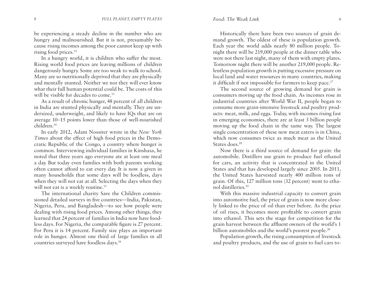be experiencing a steady decline in the number who are hungry and malnourished. But it is not, presumably because rising incomes among the poor cannot keep up with rising food prices.12

In a hungry world, it is children who suffer the most. Rising world food prices are leaving millions of children dangerously hungry. Some are too weak to walk to school. Many are so nutritionally deprived that they are physically and mentally stunted. Neither we nor they will ever know what their full human potential could be. The costs of this will be visible for decades to come.<sup>13</sup>

As a result of chronic hunger, 48 percent of all children in India are stunted physically and mentally. They are undersized, underweight, and likely to have IQs that are on average 10–15 points lower than those of well-nourished children.14

In early 2012, Adam Nossiter wrote in the *New York Times* about the effect of high food prices in the Democratic Republic of the Congo, a country where hunger is common. Interviewing individual families in Kinshasa, he noted that three years ago everyone ate at least one meal a day. But today even families with both parents working often cannot afford to eat every day. It is now a given in many households that some days will be foodless, days when they will not eat at all. Selecting the days when they will not eat is a weekly routine.<sup>15</sup>

The international charity Save the Children commissioned detailed surveys in five countries—India, Pakistan, Nigeria, Peru, and Bangladesh—to see how people were dealing with rising food prices. Among other things, they learned that 24 percent of families in India now have foodless days. For Nigeria, the comparable figure is 27 percent. For Peru it is 14 percent. Family size plays an important role in hunger. Almost one third of large families in all countries surveyed have foodless days.16

Historically there have been two sources of grain demand growth. The oldest of these is population growth. Each year the world adds nearly 80 million people. Tonight there will be 219,000 people at the dinner table who were not there last night, many of them with empty plates. Tomorrow night there will be another 219,000 people. Relentless population growth is putting excessive pressure on local land and water resources in many countries, making it difficult if not impossible for farmers to keep pace.<sup>17</sup>

The second source of growing demand for grain is consumers moving up the food chain. As incomes rose in industrial countries after World War II, people began to consume more grain-intensive livestock and poultry products: meat, milk, and eggs. Today, with incomes rising fast in emerging economies, there are at least 3 billion people moving up the food chain in the same way. The largest single concentration of these new meat eaters is in China, which now consumes twice as much meat as the United States does.<sup>18</sup>

Now there is a third source of demand for grain: the automobile. Distillers use grain to produce fuel ethanol for cars, an activity that is concentrated in the United States and that has developed largely since 2005. In 2011, the United States harvested nearly 400 million tons of grain. Of this, 127 million tons (32 percent) went to ethanol distilleries.19

With this massive industrial capacity to convert grain into automotive fuel, the price of grain is now more closely linked to the price of oil than ever before. As the price of oil rises, it becomes more profitable to convert grain into ethanol. This sets the stage for competition for the grain harvest between the affluent owners of the world's 1 billion automobiles and the world's poorest people.<sup>20</sup>

Population growth, the rising consumption of livestock and poultry products, and the use of grain to fuel cars to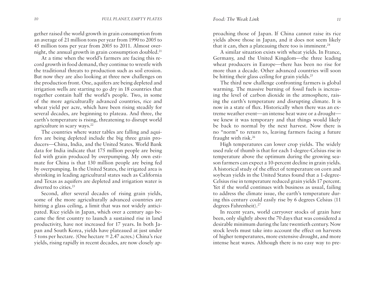gether raised the world growth in grain consumption from an average of 21 million tons per year from 1990 to 2005 to 45 million tons per year from 2005 to 2011. Almost overnight, the annual growth in grain consumption doubled.<sup>21</sup>

At a time when the world's farmers are facing this record growth in food demand, they continue to wrestle with the traditional threats to production such as soil erosion. But now they are also looking at three new challenges on the production front. One, aquifers are being depleted and irrigation wells are starting to go dry in 18 countries that together contain half the world's people. Two, in some of the more agriculturally advanced countries, rice and wheat yield per acre, which have been rising steadily for several decades, are beginning to plateau. And three, the earth's temperature is rising, threatening to disrupt world agriculture in scary ways.<sup>22</sup>

The countries where water tables are falling and aquifers are being depleted include the big three grain producers—China, India, and the United States. World Bank data for India indicate that 175 million people are being fed with grain produced by overpumping. My own estimate for China is that 130 million people are being fed by overpumping. In the United States, the irrigated area is shrinking in leading agricultural states such as California and Texas as aquifers are depleted and irrigation water is diverted to cities.<sup>23</sup>

Second, after several decades of rising grain yields, some of the more agriculturally advanced countries are hitting a glass ceiling, a limit that was not widely anticipated. Rice yields in Japan, which over a century ago became the first country to launch a sustained rise in land productivity, have not increased for 17 years. In both Japan and South Korea, yields have plateaued at just under 5 tons per hectare. (One hectare = 2.47 acres.) China's rice yields, rising rapidly in recent decades, are now closely approaching those of Japan. If China cannot raise its rice yields above those in Japan, and it does not seem likely that it can, then a plateauing there too is imminent. $24$ 

A similar situation exists with wheat yields. In France, Germany, and the United Kingdom—the three leading wheat producers in Europe—there has been no rise for more than a decade. Other advanced countries will soon be hitting their glass ceiling for grain yields.<sup>25</sup>

The third new challenge confronting farmers is global warming. The massive burning of fossil fuels is increasing the level of carbon dioxide in the atmosphere, raising the earth's temperature and disrupting climate. It is now in a state of flux. Historically when there was an extreme weather event—an intense heat wave or a drought we knew it was temporary and that things would likely be back to normal by the next harvest. Now there is no "norm" to return to, leaving farmers facing a future fraught with risk.26

High temperatures can lower crop yields. The widely used rule of thumb is that for each 1-degree-Celsius rise in temperature above the optimum during the growing season farmers can expect a 10-percent decline in grain yields. A historical study of the effect of temperature on corn and soybean yields in the United States found that a 1-degree-Celsius rise in temperature reduced grain yields 17 percent. Yet if the world continues with business as usual, failing to address the climate issue, the earth's temperature during this century could easily rise by 6 degrees Celsius (11 degrees Fahrenheit).<sup>27</sup>

In recent years, world carryover stocks of grain have been, only slightly above the 70 days that was considered a desirable minimum during the late twentieth century. Now stock levels must take into account the effect on harvests of higher temperatures, more extensive drought, and more intense heat waves. Although there is no easy way to pre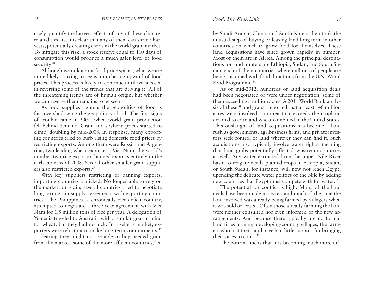cisely quantify the harvest effects of any of these climaterelated threats, it is clear that any of them can shrink harvests, potentially creating chaos in the world grain market. To mitigate this risk, a stock reserve equal to 110 days of consumption would produce a much safer level of food security.<sup>28</sup>

Although we talk about food price spikes, what we are more likely starting to see is a ratcheting upward of food prices. This process is likely to continue until we succeed in reversing some of the trends that are driving it. All of the threatening trends are of human origin, but whether we can reverse them remains to be seen.

As food supplies tighten, the geopolitics of food is fast overshadowing the geopolitics of oil. The first signs of trouble came in 2007, when world grain production fell behind demand. Grain and soybean prices started to climb, doubling by mid-2008. In response, many exporting countries tried to curb rising domestic food prices by restricting exports. Among them were Russia and Argentina, two leading wheat exporters. Viet Nam, the world's number two rice exporter, banned exports entirely in the early months of 2008. Several other smaller grain suppliers also restricted exports.29

With key suppliers restricting or banning exports, importing countries panicked. No longer able to rely on the market for grain, several countries tried to negotiate long-term grain supply agreements with exporting countries. The Philippines, a chronically rice-deficit country, attempted to negotiate a three-year agreement with Viet Nam for 1.5 million tons of rice per year. A delegation of Yemenis traveled to Australia with a similar goal in mind for wheat, but they had no luck. In a seller's market, exporters were reluctant to make long-term commitments.<sup>30</sup>

Fearing they might not be able to buy needed grain from the market, some of the more affluent countries, led by Saudi Arabia, China, and South Korea, then took the unusual step of buying or leasing land long term in other countries on which to grow food for themselves. These land acquisitions have since grown rapidly in number. Most of them are in Africa. Among the principal destinations for land hunters are Ethiopia, Sudan, and South Sudan, each of them countries where millions of people are being sustained with food donations from the U.N. World Food Programme.<sup>31</sup>

As of mid-2012, hundreds of land acquisition deals had been negotiated or were under negotiation, some of them exceeding a million acres. A 2011 World Bank analysis of these "land grabs" reported that at least 140 million acres were involved—an area that exceeds the cropland devoted to corn and wheat combined in the United States. This onslaught of land acquisitions has become a land rush as governments, agribusiness firms, and private investors seek control of land wherever they can find it. Such acquisitions also typically involve water rights, meaning that land grabs potentially affect downstream countries as well. Any water extracted from the upper Nile River basin to irrigate newly planted crops in Ethiopia, Sudan, or South Sudan, for instance, will now not reach Egypt, upending the delicate water politics of the Nile by adding new countries that Egypt must compete with for water.<sup>32</sup>

The potential for conflict is high. Many of the land deals have been made in secret, and much of the time the land involved was already being farmed by villagers when it was sold or leased. Often those already farming the land were neither consulted nor even informed of the new arrangements. And because there typically are no formal land titles in many developing-country villages, the farmers who lost their land have had little support for bringing their cases to court.33

The bottom line is that it is becoming much more dif-